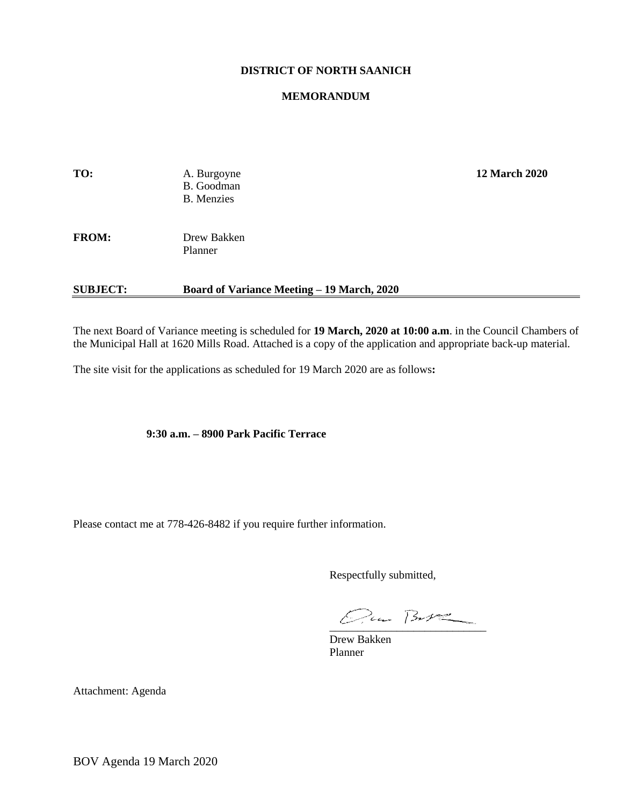## **DISTRICT OF NORTH SAANICH**

#### **MEMORANDUM**

| TO:          | A. Burgoyne<br>B. Goodman<br><b>B.</b> Menzies | <b>12 March 2020</b> |
|--------------|------------------------------------------------|----------------------|
| <b>FROM:</b> | Drew Bakken<br>Planner                         |                      |

### **SUBJECT: Board of Variance Meeting – 19 March, 2020**

The next Board of Variance meeting is scheduled for **19 March, 2020 at 10:00 a.m**. in the Council Chambers of the Municipal Hall at 1620 Mills Road. Attached is a copy of the application and appropriate back-up material.

The site visit for the applications as scheduled for 19 March 2020 are as follows**:**

**9:30 a.m. – 8900 Park Pacific Terrace**

Please contact me at 778-426-8482 if you require further information.

Respectfully submitted,

 $Quan\,Bur2$ 

Drew Bakken Planner

Attachment: Agenda